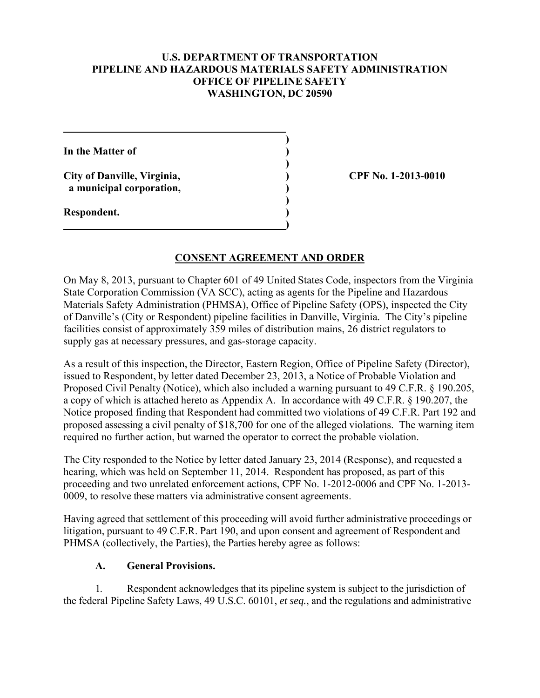#### **U.S. DEPARTMENT OF TRANSPORTATION PIPELINE AND HAZARDOUS MATERIALS SAFETY ADMINISTRATION OFFICE OF PIPELINE SAFETY WASHINGTON, DC 20590**

**In the Matter of ) )** 

 **a municipal corporation, )** 

 **)** 

 **)** 

**City of Danville, Virginia, ) CPF No. 1-2013-0010** 

**Respondent. ) 1 (a) (b) (b) (b) (b) (b) (c) (d) (d)** 

# **CONSENT AGREEMENT AND ORDER**

On May 8, 2013, pursuant to Chapter 601 of 49 United States Code, inspectors from the Virginia State Corporation Commission (VA SCC), acting as agents for the Pipeline and Hazardous Materials Safety Administration (PHMSA), Office of Pipeline Safety (OPS), inspected the City of Danville's (City or Respondent) pipeline facilities in Danville, Virginia. The City's pipeline facilities consist of approximately 359 miles of distribution mains, 26 district regulators to supply gas at necessary pressures, and gas-storage capacity.

As a result of this inspection, the Director, Eastern Region, Office of Pipeline Safety (Director), issued to Respondent, by letter dated December 23, 2013, a Notice of Probable Violation and Proposed Civil Penalty (Notice), which also included a warning pursuant to 49 C.F.R. § 190.205, a copy of which is attached hereto as Appendix A. In accordance with 49 C.F.R. § 190.207, the Notice proposed finding that Respondent had committed two violations of 49 C.F.R. Part 192 and proposed assessing a civil penalty of \$18,700 for one of the alleged violations. The warning item required no further action, but warned the operator to correct the probable violation.

The City responded to the Notice by letter dated January 23, 2014 (Response), and requested a hearing, which was held on September 11, 2014. Respondent has proposed, as part of this proceeding and two unrelated enforcement actions, CPF No. 1-2012-0006 and CPF No. 1-2013- 0009, to resolve these matters via administrative consent agreements.

Having agreed that settlement of this proceeding will avoid further administrative proceedings or litigation, pursuant to 49 C.F.R. Part 190, and upon consent and agreement of Respondent and PHMSA (collectively, the Parties), the Parties hereby agree as follows:

## **A. General Provisions.**

1. Respondent acknowledges that its pipeline system is subject to the jurisdiction of the federal Pipeline Safety Laws, 49 U.S.C. 60101, *et seq.*, and the regulations and administrative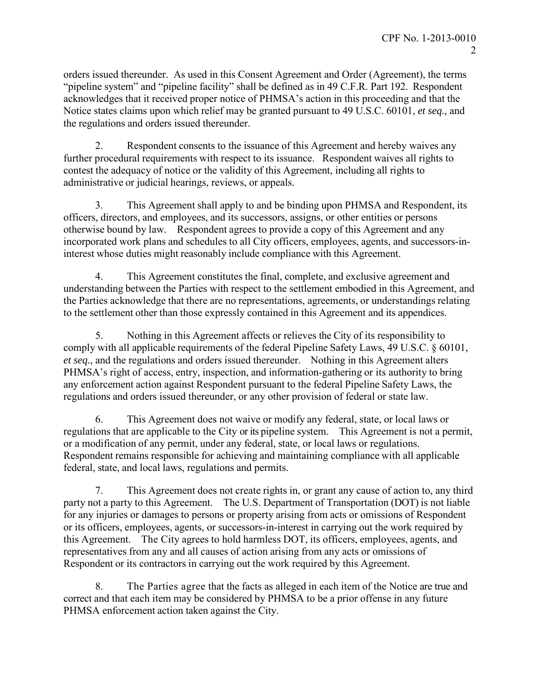orders issued thereunder. As used in this Consent Agreement and Order (Agreement), the terms "pipeline system" and "pipeline facility" shall be defined as in 49 C.F.R. Part 192. Respondent acknowledges that it received proper notice of PHMSA's action in this proceeding and that the Notice states claims upon which relief may be granted pursuant to 49 U.S.C. 60101, *et seq.,* and the regulations and orders issued thereunder.

2. Respondent consents to the issuance of this Agreement and hereby waives any further procedural requirements with respect to its issuance. Respondent waives all rights to contest the adequacy of notice or the validity of this Agreement, including all rights to administrative or judicial hearings, reviews, or appeals.

3. This Agreement shall apply to and be binding upon PHMSA and Respondent, its officers, directors, and employees, and its successors, assigns, or other entities or persons otherwise bound by law. Respondent agrees to provide a copy of this Agreement and any incorporated work plans and schedules to all City officers, employees, agents, and successors-ininterest whose duties might reasonably include compliance with this Agreement.

4. This Agreement constitutes the final, complete, and exclusive agreement and understanding between the Parties with respect to the settlement embodied in this Agreement, and the Parties acknowledge that there are no representations, agreements, or understandings relating to the settlement other than those expressly contained in this Agreement and its appendices.

5. Nothing in this Agreement affects or relieves the City of its responsibility to comply with all applicable requirements of the federal Pipeline Safety Laws, 49 U.S.C. § 60101, *et seq.*, and the regulations and orders issued thereunder. Nothing in this Agreement alters PHMSA's right of access, entry, inspection, and information-gathering or its authority to bring any enforcement action against Respondent pursuant to the federal Pipeline Safety Laws, the regulations and orders issued thereunder, or any other provision of federal or state law.

6. This Agreement does not waive or modify any federal, state, or local laws or regulations that are applicable to the City or its pipeline system. This Agreement is not a permit, or a modification of any permit, under any federal, state, or local laws or regulations. Respondent remains responsible for achieving and maintaining compliance with all applicable federal, state, and local laws, regulations and permits.

7. This Agreement does not create rights in, or grant any cause of action to, any third party not a party to this Agreement. The U.S. Department of Transportation (DOT) is not liable for any injuries or damages to persons or property arising from acts or omissions of Respondent or its officers, employees, agents, or successors-in-interest in carrying out the work required by this Agreement. The City agrees to hold harmless DOT, its officers, employees, agents, and representatives from any and all causes of action arising from any acts or omissions of Respondent or its contractors in carrying out the work required by this Agreement.

8. The Parties agree that the facts as alleged in each item of the Notice are true and correct and that each item may be considered by PHMSA to be a prior offense in any future PHMSA enforcement action taken against the City.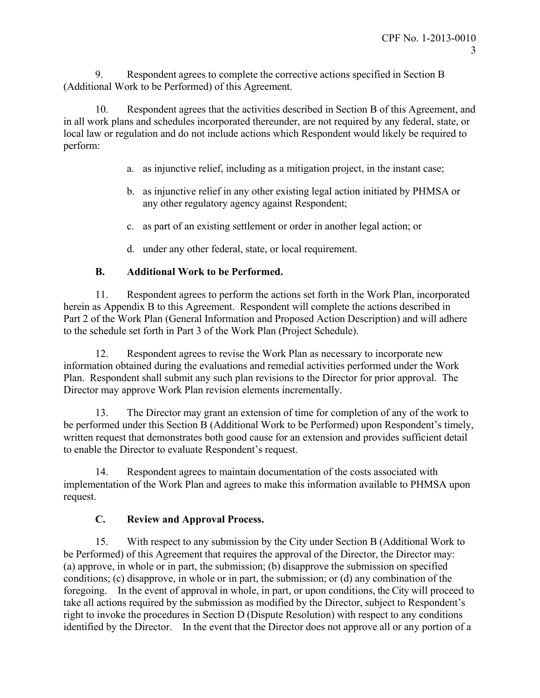9. Respondent agrees to complete the corrective actions specified in Section B (Additional Work to be Performed) of this Agreement.

10. Respondent agrees that the activities described in Section B of this Agreement, and in all work plans and schedules incorporated thereunder, are not required by any federal, state, or local law or regulation and do not include actions which Respondent would likely be required to perform:

- a. as injunctive relief, including as a mitigation project, in the instant case;
- b. as injunctive relief in any other existing legal action initiated by PHMSA or any other regulatory agency against Respondent;
- c. as part of an existing settlement or order in another legal action; or
- d. under any other federal, state, or local requirement.

# **B. Additional Work to be Performed.**

11. Respondent agrees to perform the actions set forth in the Work Plan, incorporated herein as Appendix B to this Agreement. Respondent will complete the actions described in Part 2 of the Work Plan (General Information and Proposed Action Description) and will adhere to the schedule set forth in Part 3 of the Work Plan (Project Schedule).

12. Respondent agrees to revise the Work Plan as necessary to incorporate new information obtained during the evaluations and remedial activities performed under the Work Plan. Respondent shall submit any such plan revisions to the Director for prior approval. The Director may approve Work Plan revision elements incrementally.

13. The Director may grant an extension of time for completion of any of the work to be performed under this Section B (Additional Work to be Performed) upon Respondent's timely, written request that demonstrates both good cause for an extension and provides sufficient detail to enable the Director to evaluate Respondent's request.

14. Respondent agrees to maintain documentation of the costs associated with implementation of the Work Plan and agrees to make this information available to PHMSA upon request.

# **C. Review and Approval Process.**

15. With respect to any submission by the City under Section B (Additional Work to be Performed) of this Agreement that requires the approval of the Director, the Director may: (a) approve, in whole or in part, the submission; (b) disapprove the submission on specified conditions; (c) disapprove, in whole or in part, the submission; or (d) any combination of the foregoing. In the event of approval in whole, in part, or upon conditions, the City will proceed to take all actions required by the submission as modified by the Director, subject to Respondent's right to invoke the procedures in Section D (Dispute Resolution) with respect to any conditions identified by the Director. In the event that the Director does not approve all or any portion of a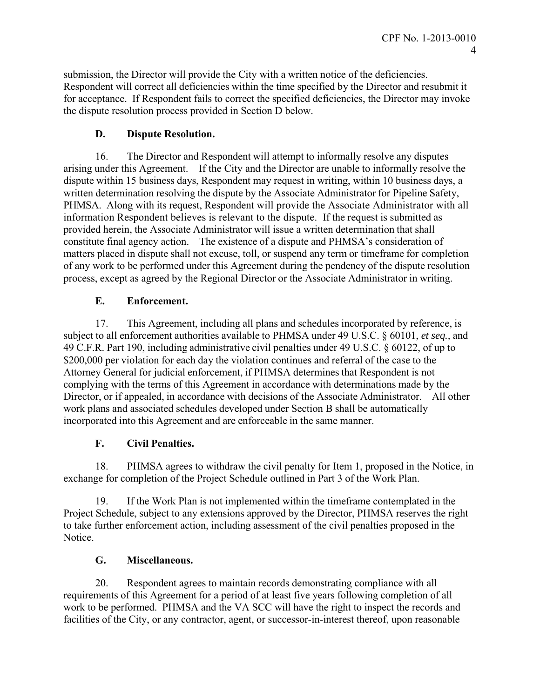submission, the Director will provide the City with a written notice of the deficiencies. Respondent will correct all deficiencies within the time specified by the Director and resubmit it for acceptance. If Respondent fails to correct the specified deficiencies, the Director may invoke the dispute resolution process provided in Section D below.

# **D. Dispute Resolution.**

16. The Director and Respondent will attempt to informally resolve any disputes arising under this Agreement. If the City and the Director are unable to informally resolve the dispute within 15 business days, Respondent may request in writing, within 10 business days, a written determination resolving the dispute by the Associate Administrator for Pipeline Safety, PHMSA. Along with its request, Respondent will provide the Associate Administrator with all information Respondent believes is relevant to the dispute. If the request is submitted as provided herein, the Associate Administrator will issue a written determination that shall constitute final agency action. The existence of a dispute and PHMSA's consideration of matters placed in dispute shall not excuse, toll, or suspend any term or timeframe for completion of any work to be performed under this Agreement during the pendency of the dispute resolution process, except as agreed by the Regional Director or the Associate Administrator in writing.

# **E. Enforcement.**

17. This Agreement, including all plans and schedules incorporated by reference, is subject to all enforcement authorities available to PHMSA under 49 U.S.C. § 60101, *et seq.,* and 49 C.F.R. Part 190, including administrative civil penalties under 49 U.S.C. § 60122, of up to \$200,000 per violation for each day the violation continues and referral of the case to the Attorney General for judicial enforcement, if PHMSA determines that Respondent is not complying with the terms of this Agreement in accordance with determinations made by the Director, or if appealed, in accordance with decisions of the Associate Administrator. All other work plans and associated schedules developed under Section B shall be automatically incorporated into this Agreement and are enforceable in the same manner.

# **F. Civil Penalties.**

18. PHMSA agrees to withdraw the civil penalty for Item 1, proposed in the Notice, in exchange for completion of the Project Schedule outlined in Part 3 of the Work Plan.

19. If the Work Plan is not implemented within the timeframe contemplated in the Project Schedule, subject to any extensions approved by the Director, PHMSA reserves the right to take further enforcement action, including assessment of the civil penalties proposed in the Notice.

## **G. Miscellaneous.**

20. Respondent agrees to maintain records demonstrating compliance with all requirements of this Agreement for a period of at least five years following completion of all work to be performed. PHMSA and the VA SCC will have the right to inspect the records and facilities of the City, or any contractor, agent, or successor-in-interest thereof, upon reasonable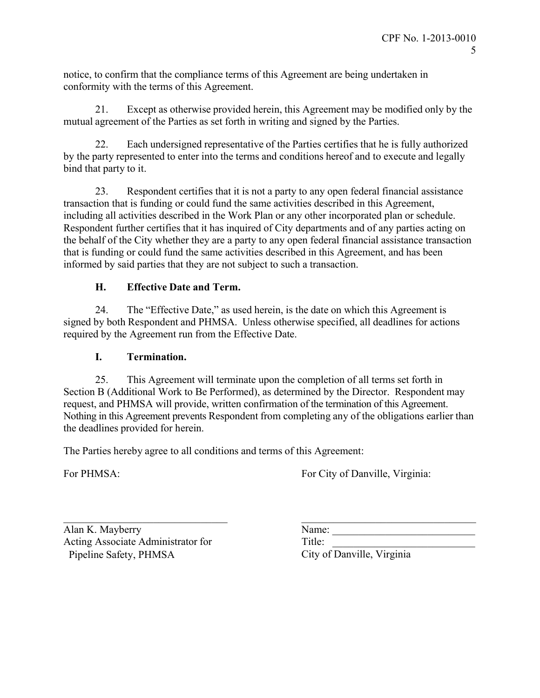notice, to confirm that the compliance terms of this Agreement are being undertaken in conformity with the terms of this Agreement.

21. Except as otherwise provided herein, this Agreement may be modified only by the mutual agreement of the Parties as set forth in writing and signed by the Parties.

22. Each undersigned representative of the Parties certifies that he is fully authorized by the party represented to enter into the terms and conditions hereof and to execute and legally bind that party to it.

23. Respondent certifies that it is not a party to any open federal financial assistance transaction that is funding or could fund the same activities described in this Agreement, including all activities described in the Work Plan or any other incorporated plan or schedule. Respondent further certifies that it has inquired of City departments and of any parties acting on the behalf of the City whether they are a party to any open federal financial assistance transaction that is funding or could fund the same activities described in this Agreement, and has been informed by said parties that they are not subject to such a transaction.

# **H. Effective Date and Term.**

24. The "Effective Date," as used herein, is the date on which this Agreement is signed by both Respondent and PHMSA. Unless otherwise specified, all deadlines for actions required by the Agreement run from the Effective Date.

## **I. Termination.**

25. This Agreement will terminate upon the completion of all terms set forth in Section B (Additional Work to Be Performed), as determined by the Director. Respondent may request, and PHMSA will provide, written confirmation of the termination of this Agreement. Nothing in this Agreement prevents Respondent from completing any of the obligations earlier than the deadlines provided for herein.

The Parties hereby agree to all conditions and terms of this Agreement:

For PHMSA: For City of Danville, Virginia:

Alan K. Mayberry Name: Name: Name: Name: Name: Name: Name: Name: Name: Name: Name: Name: Name: Name: Name: Name: Name: Name: Name: Name: Name: Name: Name: Name: Name: Name: Name: Name: Name: Name: Name: Name: Name: Name: N Acting Associate Administrator for Title: Pipeline Safety, PHMSA City of Danville, Virginia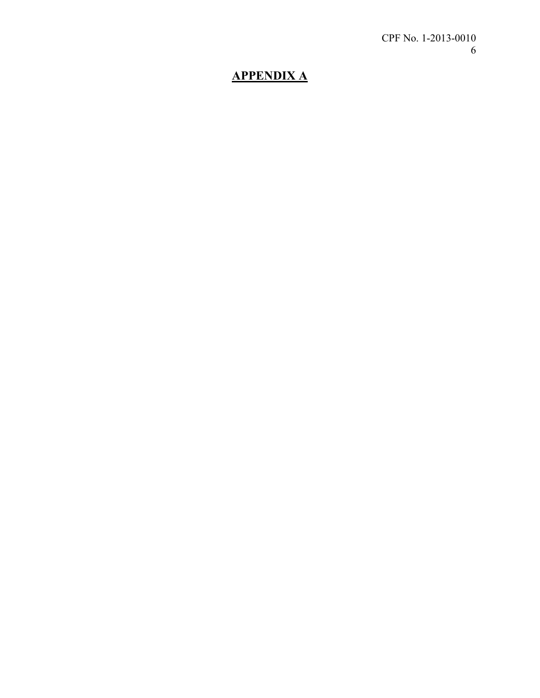# **APPENDIX A**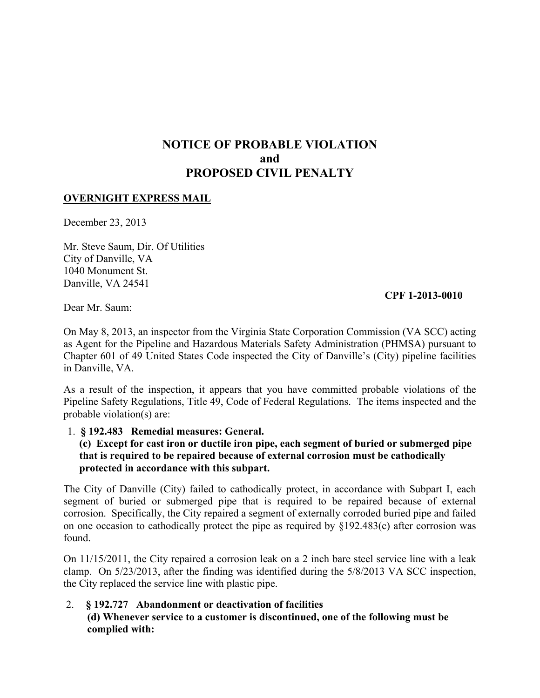# **NOTICE OF PROBABLE VIOLATION and PROPOSED CIVIL PENALTY**

#### **OVERNIGHT EXPRESS MAIL**

December 23, 2013

Mr. Steve Saum, Dir. Of Utilities City of Danville, VA 1040 Monument St. Danville, VA 24541

#### **CPF 1-2013-0010**

Dear Mr. Saum:

On May 8, 2013, an inspector from the Virginia State Corporation Commission (VA SCC) acting as Agent for the Pipeline and Hazardous Materials Safety Administration (PHMSA) pursuant to Chapter 601 of 49 United States Code inspected the City of Danville's (City) pipeline facilities in Danville, VA.

As a result of the inspection, it appears that you have committed probable violations of the Pipeline Safety Regulations, Title 49, Code of Federal Regulations. The items inspected and the probable violation(s) are:

#### 1. **§ 192.483 Remedial measures: General.**

#### **(c) Except for cast iron or ductile iron pipe, each segment of buried or submerged pipe that is required to be repaired because of external corrosion must be cathodically protected in accordance with this subpart.**

The City of Danville (City) failed to cathodically protect, in accordance with Subpart I, each segment of buried or submerged pipe that is required to be repaired because of external corrosion. Specifically, the City repaired a segment of externally corroded buried pipe and failed on one occasion to cathodically protect the pipe as required by §192.483(c) after corrosion was found.

On 11/15/2011, the City repaired a corrosion leak on a 2 inch bare steel service line with a leak clamp. On 5/23/2013, after the finding was identified during the 5/8/2013 VA SCC inspection, the City replaced the service line with plastic pipe.

 2. **§ 192.727 Abandonment or deactivation of facilities (d) Whenever service to a customer is discontinued, one of the following must be complied with:**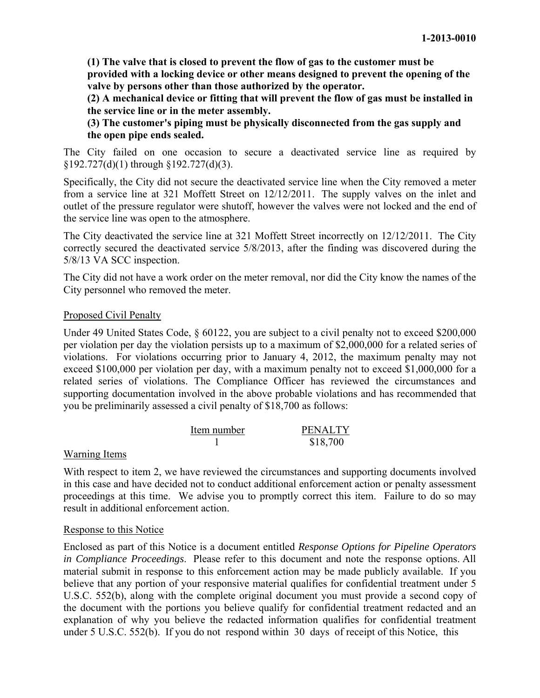**(1) The valve that is closed to prevent the flow of gas to the customer must be provided with a locking device or other means designed to prevent the opening of the valve by persons other than those authorized by the operator.** 

**(2) A mechanical device or fitting that will prevent the flow of gas must be installed in the service line or in the meter assembly.** 

**(3) The customer's piping must be physically disconnected from the gas supply and the open pipe ends sealed.** 

The City failed on one occasion to secure a deactivated service line as required by §192.727(d)(1) through §192.727(d)(3).

Specifically, the City did not secure the deactivated service line when the City removed a meter from a service line at 321 Moffett Street on 12/12/2011. The supply valves on the inlet and outlet of the pressure regulator were shutoff, however the valves were not locked and the end of the service line was open to the atmosphere.

The City deactivated the service line at 321 Moffett Street incorrectly on 12/12/2011. The City correctly secured the deactivated service 5/8/2013, after the finding was discovered during the 5/8/13 VA SCC inspection.

The City did not have a work order on the meter removal, nor did the City know the names of the City personnel who removed the meter.

## Proposed Civil Penalty

Under 49 United States Code, § 60122, you are subject to a civil penalty not to exceed \$200,000 per violation per day the violation persists up to a maximum of \$2,000,000 for a related series of violations. For violations occurring prior to January 4, 2012, the maximum penalty may not exceed \$100,000 per violation per day, with a maximum penalty not to exceed \$1,000,000 for a related series of violations. The Compliance Officer has reviewed the circumstances and supporting documentation involved in the above probable violations and has recommended that you be preliminarily assessed a civil penalty of \$18,700 as follows:

| Item number | <b>PENALTY</b> |
|-------------|----------------|
|             | \$18,700       |

#### Warning Items

With respect to item 2, we have reviewed the circumstances and supporting documents involved in this case and have decided not to conduct additional enforcement action or penalty assessment proceedings at this time. We advise you to promptly correct this item. Failure to do so may result in additional enforcement action.

#### Response to this Notice

Enclosed as part of this Notice is a document entitled *Response Options for Pipeline Operators in Compliance Proceedings*. Please refer to this document and note the response options. All material submit in response to this enforcement action may be made publicly available. If you believe that any portion of your responsive material qualifies for confidential treatment under 5 U.S.C. 552(b), along with the complete original document you must provide a second copy of the document with the portions you believe qualify for confidential treatment redacted and an explanation of why you believe the redacted information qualifies for confidential treatment under 5 U.S.C. 552(b). If you do not respond within 30 days of receipt of this Notice, this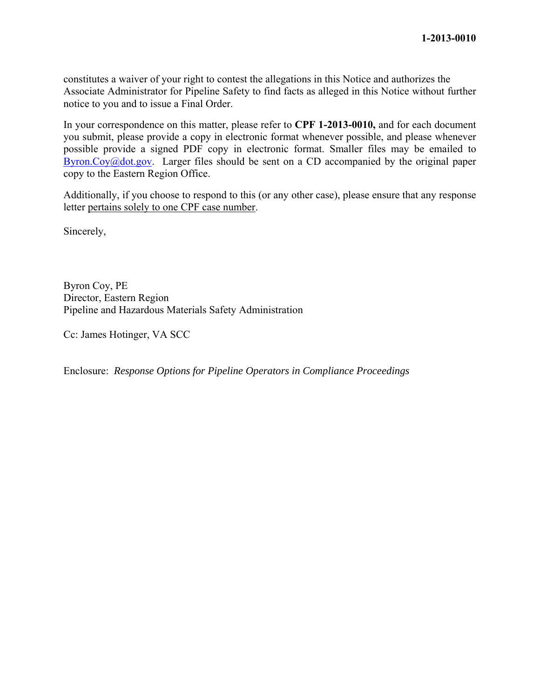constitutes a waiver of your right to contest the allegations in this Notice and authorizes the Associate Administrator for Pipeline Safety to find facts as alleged in this Notice without further notice to you and to issue a Final Order.

In your correspondence on this matter, please refer to **CPF 1-2013-0010,** and for each document you submit, please provide a copy in electronic format whenever possible, and please whenever possible provide a signed PDF copy in electronic format. Smaller files may be emailed to Byron.Coy $@dot.gov$ . Larger files should be sent on a CD accompanied by the original paper copy to the Eastern Region Office.

Additionally, if you choose to respond to this (or any other case), please ensure that any response letter pertains solely to one CPF case number.

Sincerely,

Byron Coy, PE Director, Eastern Region Pipeline and Hazardous Materials Safety Administration

Cc: James Hotinger, VA SCC

Enclosure: *Response Options for Pipeline Operators in Compliance Proceedings*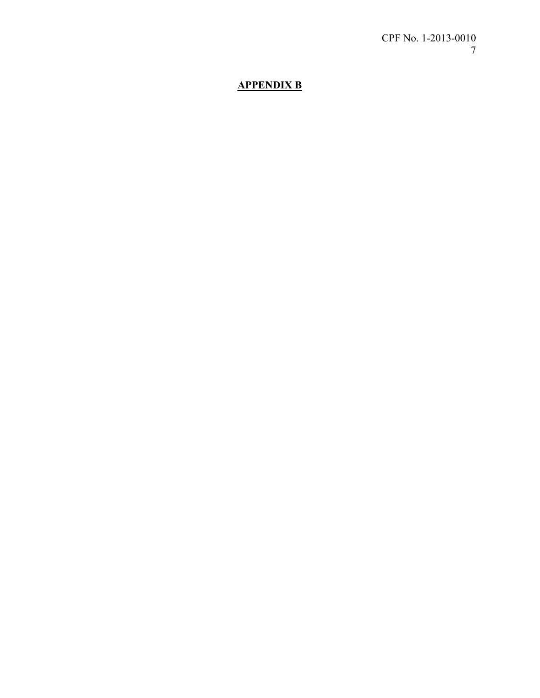# **APPENDIX B**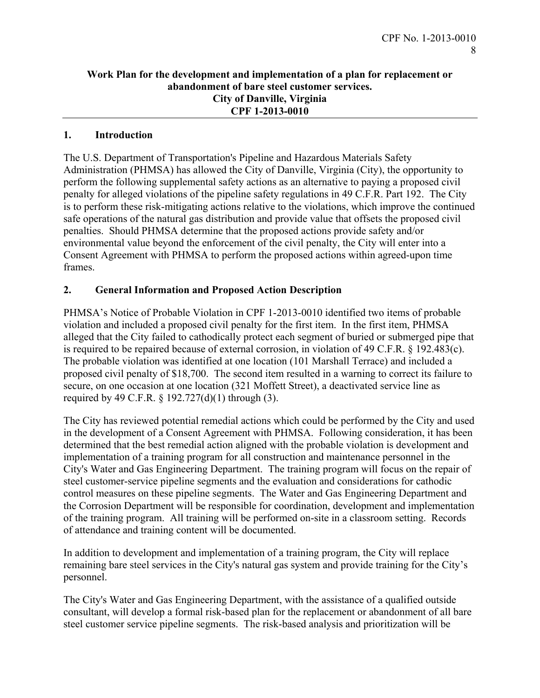#### **Work Plan for the development and implementation of a plan for replacement or abandonment of bare steel customer services. City of Danville, Virginia CPF 1-2013-0010**

### **1. Introduction**

The U.S. Department of Transportation's Pipeline and Hazardous Materials Safety Administration (PHMSA) has allowed the City of Danville, Virginia (City), the opportunity to perform the following supplemental safety actions as an alternative to paying a proposed civil penalty for alleged violations of the pipeline safety regulations in 49 C.F.R. Part 192. The City is to perform these risk-mitigating actions relative to the violations, which improve the continued safe operations of the natural gas distribution and provide value that offsets the proposed civil penalties. Should PHMSA determine that the proposed actions provide safety and/or environmental value beyond the enforcement of the civil penalty, the City will enter into a Consent Agreement with PHMSA to perform the proposed actions within agreed-upon time frames.

#### **2. General Information and Proposed Action Description**

PHMSA's Notice of Probable Violation in CPF 1-2013-0010 identified two items of probable violation and included a proposed civil penalty for the first item. In the first item, PHMSA alleged that the City failed to cathodically protect each segment of buried or submerged pipe that is required to be repaired because of external corrosion, in violation of 49 C.F.R. § 192.483(c). The probable violation was identified at one location (101 Marshall Terrace) and included a proposed civil penalty of \$18,700. The second item resulted in a warning to correct its failure to secure, on one occasion at one location (321 Moffett Street), a deactivated service line as required by 49 C.F.R. § 192.727(d)(1) through (3).

The City has reviewed potential remedial actions which could be performed by the City and used in the development of a Consent Agreement with PHMSA. Following consideration, it has been determined that the best remedial action aligned with the probable violation is development and implementation of a training program for all construction and maintenance personnel in the City's Water and Gas Engineering Department. The training program will focus on the repair of steel customer-service pipeline segments and the evaluation and considerations for cathodic control measures on these pipeline segments. The Water and Gas Engineering Department and the Corrosion Department will be responsible for coordination, development and implementation of the training program. All training will be performed on-site in a classroom setting. Records of attendance and training content will be documented.

In addition to development and implementation of a training program, the City will replace remaining bare steel services in the City's natural gas system and provide training for the City's personnel.

The City's Water and Gas Engineering Department, with the assistance of a qualified outside consultant, will develop a formal risk-based plan for the replacement or abandonment of all bare steel customer service pipeline segments. The risk-based analysis and prioritization will be